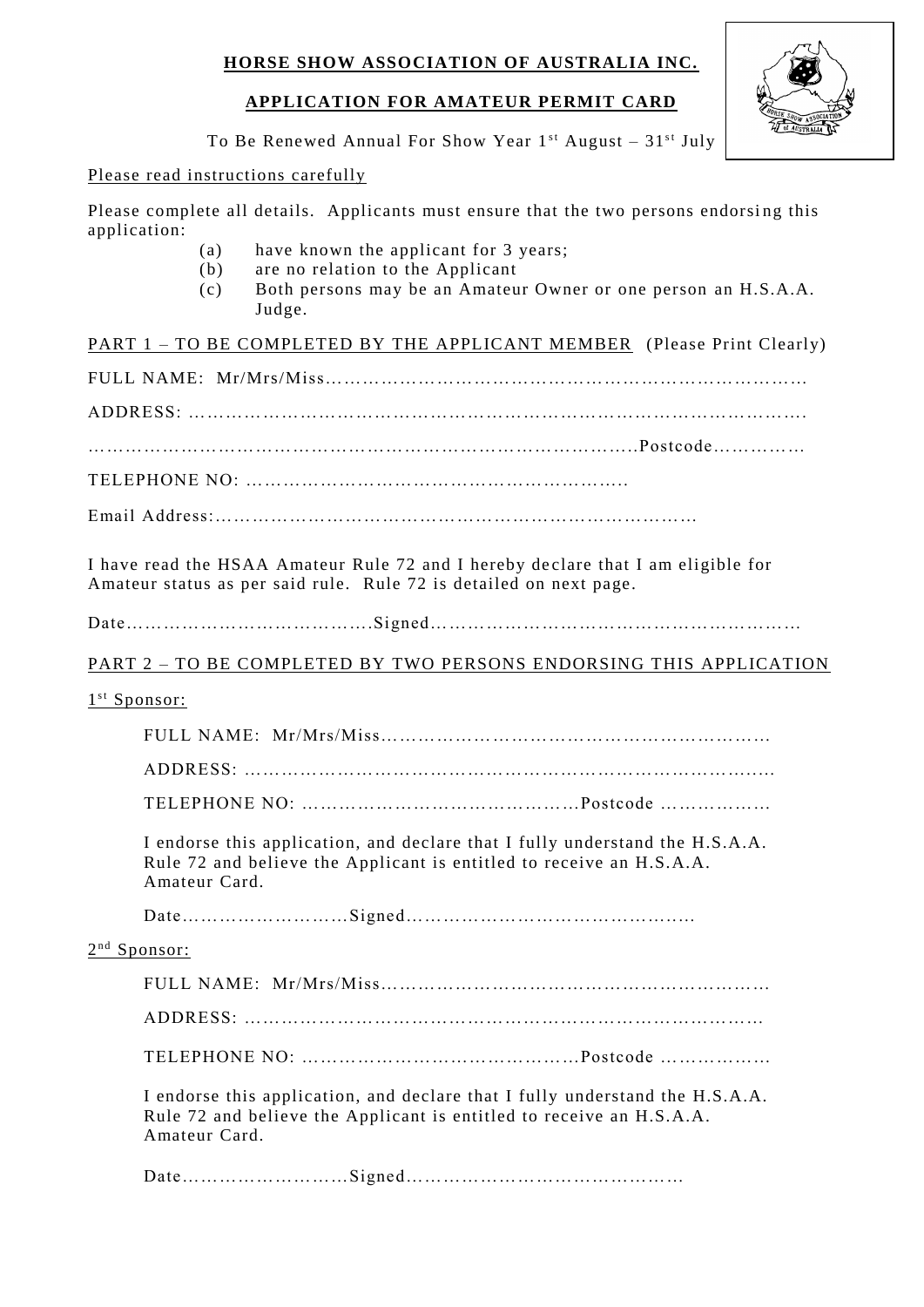# **APPLICATION FOR AMATEUR PERMIT CARD**



To Be Renewed Annual For Show Year  $1^{st}$  August –  $31^{st}$  July

### Please read instructions carefully

Please complete all details. Applicants must ensure that the two persons endorsing this application:

- (a) have known the applicant for 3 years;
- (b) are no relation to the Applicant
- (c) Both persons may be an Amateur Owner or one person an H.S.A.A. Judge.

PART 1 – TO BE COMPLETED BY THE APPLICANT MEMBER (Please Print Clearly)

FULL NAME: Mr/Mrs/Miss……………………………………………………………………

ADDRESS: ……………………………………………………………………………………….

……………………………………………………………………………..Postcode……………

TELEPHONE NO: ……………………………………………………..

Email Address:……………………………………………………………………

I have read the HSAA Amateur Rule 72 and I hereby de clare that I am eligible for Amateur status as per said rule. Rule 72 is detailed on next page.

Date………………………………….Signed……………………………………………………

### PART 2 - TO BE COMPLETED BY TWO PERSONS ENDORSING THIS APPLICATION

### 1<sup>st</sup> Sponsor:

FULL NAME: Mr/Mrs/Miss……………………………………………………… ADDRESS: ………………………………………………………………………..…

TELEPHONE NO: ………………………………………Postcode ………………

I endorse this application, and declare that I fully understand the H.S.A.A. Rule 72 and believe the Applicant is entitled to receive an H.S.A.A. Amateur Card.

Date………………………Signed……………………………………..…

#### 2<sup>nd</sup> Sponsor:

FULL NAME: Mr/Mrs/Miss……………………………………………………… ADDRESS: ………………………………………………………………………… TELEPHONE NO: ………………………………………Postcode ………………

I endorse this application, and declare that I fully understand the H.S.A.A. Rule 72 and believe the Applicant is entitled to receive an H.S.A.A. Amateur Card.

Date………………………Signed………………………………………